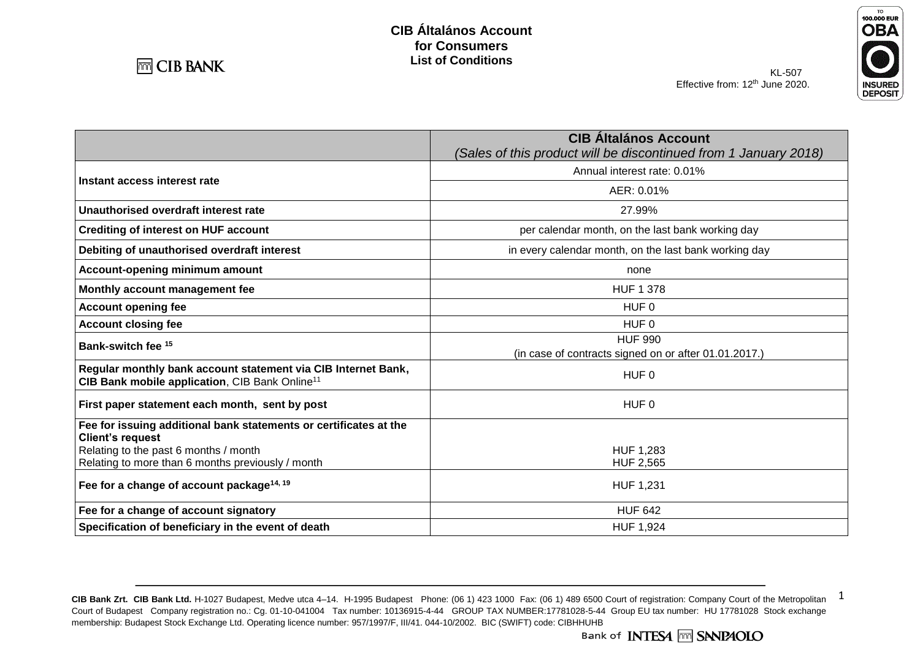

**Instant access interest rate**

**Account opening fee** 

**Unauthorised overdraft interest rate Crediting of interest on HUF account** 

**Account-opening minimum amount Monthly account management fee** 

**Debiting of unauthorised overdraft interest** 



| <b>CIB Altalános Account</b><br>(Sales of this product will be discontinued from 1 January 2018) |
|--------------------------------------------------------------------------------------------------|
| Annual interest rate: 0.01%                                                                      |
| AER: 0.01%                                                                                       |
| 27.99%                                                                                           |
| per calendar month, on the last bank working day                                                 |
| in every calendar month, on the last bank working day                                            |
| none                                                                                             |
| <b>HUF 1 378</b>                                                                                 |
| HUF 0                                                                                            |
| HUF 0                                                                                            |
| <b>HUF 990</b>                                                                                   |
| (in case of contracts signed on or after 01.01.2017.)                                            |

| <b>Account closing fee</b>                                                                                                  | HUF 0                                                 |
|-----------------------------------------------------------------------------------------------------------------------------|-------------------------------------------------------|
| Bank-switch fee <sup>15</sup>                                                                                               | <b>HUF 990</b>                                        |
|                                                                                                                             | (in case of contracts signed on or after 01.01.2017.) |
| Regular monthly bank account statement via CIB Internet Bank,<br>CIB Bank mobile application, CIB Bank Online <sup>11</sup> | HUF 0                                                 |
| First paper statement each month, sent by post                                                                              | HUF 0                                                 |
| Fee for issuing additional bank statements or certificates at the<br><b>Client's request</b>                                |                                                       |
| Relating to the past 6 months / month                                                                                       | HUF 1,283                                             |
| Relating to more than 6 months previously / month                                                                           | <b>HUF 2,565</b>                                      |
| Fee for a change of account package <sup>14, 19</sup>                                                                       | HUF 1,231                                             |
| Fee for a change of account signatory                                                                                       | <b>HUF 642</b>                                        |
| Specification of beneficiary in the event of death                                                                          | <b>HUF 1,924</b>                                      |

CIB Bank Zrt. CIB Bank Ltd. H-1027 Budapest, Medve utca 4-14. H-1995 Budapest Phone: (06 1) 423 1000 Fax: (06 1) 489 6500 Court of registration: Company Court of the Metropolitan 1 Court of Budapest Company registration no.: Cg. 01-10-041004 Tax number: 10136915-4-44 GROUP TAX NUMBER:17781028-5-44 Group EU tax number: HU 17781028 Stock exchange membership: Budapest Stock Exchange Ltd. Operating licence number: 957/1997/F, III/41. 044-10/2002. BIC (SWIFT) code: CIBHHUHB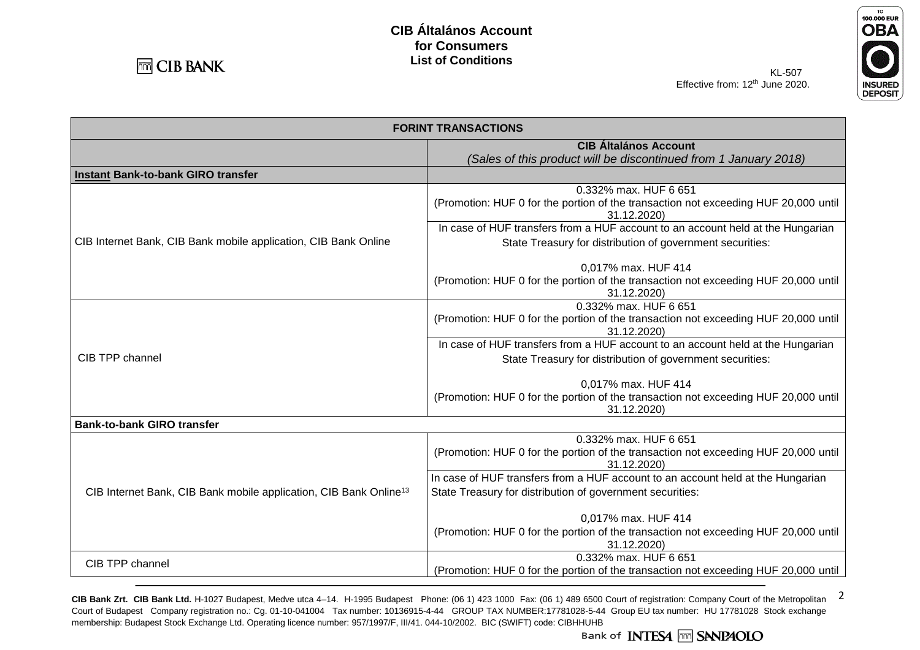



| KL-507                            |  |
|-----------------------------------|--|
| Effective from: $12th$ June 2020. |  |
|                                   |  |

| <b>FORINT TRANSACTIONS</b>                                                    |                                                                                                                             |  |
|-------------------------------------------------------------------------------|-----------------------------------------------------------------------------------------------------------------------------|--|
| <b>CIB Általános Account</b>                                                  |                                                                                                                             |  |
|                                                                               | (Sales of this product will be discontinued from 1 January 2018)                                                            |  |
| Instant Bank-to-bank GIRO transfer                                            |                                                                                                                             |  |
|                                                                               | 0.332% max. HUF 6 651<br>(Promotion: HUF 0 for the portion of the transaction not exceeding HUF 20,000 until                |  |
|                                                                               | 31.12.2020)                                                                                                                 |  |
|                                                                               | In case of HUF transfers from a HUF account to an account held at the Hungarian                                             |  |
| CIB Internet Bank, CIB Bank mobile application, CIB Bank Online               | State Treasury for distribution of government securities:                                                                   |  |
|                                                                               | 0,017% max. HUF 414<br>(Promotion: HUF 0 for the portion of the transaction not exceeding HUF 20,000 until<br>31.12.2020)   |  |
|                                                                               | 0.332% max. HUF 6 651<br>(Promotion: HUF 0 for the portion of the transaction not exceeding HUF 20,000 until                |  |
|                                                                               | 31.12.2020)                                                                                                                 |  |
|                                                                               | In case of HUF transfers from a HUF account to an account held at the Hungarian                                             |  |
| CIB TPP channel                                                               | State Treasury for distribution of government securities:                                                                   |  |
|                                                                               | 0,017% max. HUF 414<br>(Promotion: HUF 0 for the portion of the transaction not exceeding HUF 20,000 until                  |  |
|                                                                               | 31.12.2020)                                                                                                                 |  |
| <b>Bank-to-bank GIRO transfer</b>                                             |                                                                                                                             |  |
| CIB Internet Bank, CIB Bank mobile application, CIB Bank Online <sup>13</sup> | 0.332% max. HUF 6 651<br>(Promotion: HUF 0 for the portion of the transaction not exceeding HUF 20,000 until<br>31.12.2020) |  |
|                                                                               | In case of HUF transfers from a HUF account to an account held at the Hungarian                                             |  |
|                                                                               | State Treasury for distribution of government securities:                                                                   |  |
|                                                                               | 0,017% max. HUF 414                                                                                                         |  |
|                                                                               | (Promotion: HUF 0 for the portion of the transaction not exceeding HUF 20,000 until<br>31.12.2020)                          |  |
| CIB TPP channel                                                               | 0.332% max. HUF 6 651                                                                                                       |  |
|                                                                               | (Promotion: HUF 0 for the portion of the transaction not exceeding HUF 20,000 until                                         |  |

CIB Bank Zrt. CIB Bank Ltd. H-1027 Budapest, Medve utca 4-14. H-1995 Budapest Phone: (06 1) 423 1000 Fax: (06 1) 489 6500 Court of registration: Company Court of the Metropolitan 2 Court of Budapest Company registration no.: Cg. 01-10-041004 Tax number: 10136915-4-44 GROUP TAX NUMBER:17781028-5-44 Group EU tax number: HU 17781028 Stock exchange membership: Budapest Stock Exchange Ltd. Operating licence number: 957/1997/F, III/41. 044-10/2002. BIC (SWIFT) code: CIBHHUHB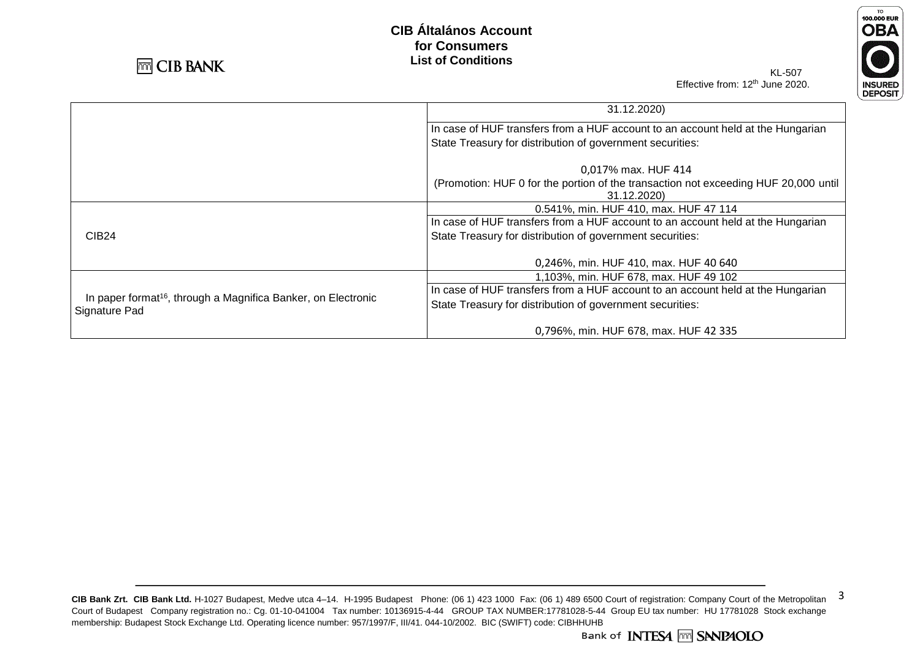



KL-507 Effective from: 12<sup>th</sup> June 2020.

|                                                                                            | 31.12.2020)                                                                                        |
|--------------------------------------------------------------------------------------------|----------------------------------------------------------------------------------------------------|
|                                                                                            | In case of HUF transfers from a HUF account to an account held at the Hungarian                    |
|                                                                                            | State Treasury for distribution of government securities:                                          |
|                                                                                            | 0,017% max. HUF 414                                                                                |
|                                                                                            | (Promotion: HUF 0 for the portion of the transaction not exceeding HUF 20,000 until<br>31.12.2020) |
|                                                                                            | 0.541%, min. HUF 410, max. HUF 47 114                                                              |
|                                                                                            | In case of HUF transfers from a HUF account to an account held at the Hungarian                    |
| <b>CIB24</b>                                                                               | State Treasury for distribution of government securities:                                          |
|                                                                                            | 0,246%, min. HUF 410, max. HUF 40 640                                                              |
|                                                                                            | 1,103%, min. HUF 678, max. HUF 49 102                                                              |
|                                                                                            | In case of HUF transfers from a HUF account to an account held at the Hungarian                    |
| In paper format <sup>16</sup> , through a Magnifica Banker, on Electronic<br>Signature Pad | State Treasury for distribution of government securities:                                          |
|                                                                                            | 0,796%, min. HUF 678, max. HUF 42 335                                                              |

CIB Bank Zrt. CIB Bank Ltd. H-1027 Budapest, Medve utca 4-14. H-1995 Budapest Phone: (06 1) 423 1000 Fax: (06 1) 489 6500 Court of registration: Company Court of the Metropolitan 3 Court of Budapest Company registration no.: Cg. 01-10-041004 Tax number: 10136915-4-44 GROUP TAX NUMBER:17781028-5-44 Group EU tax number: HU 17781028 Stock exchange membership: Budapest Stock Exchange Ltd. Operating licence number: 957/1997/F, III/41. 044-10/2002. BIC (SWIFT) code: CIBHHUHB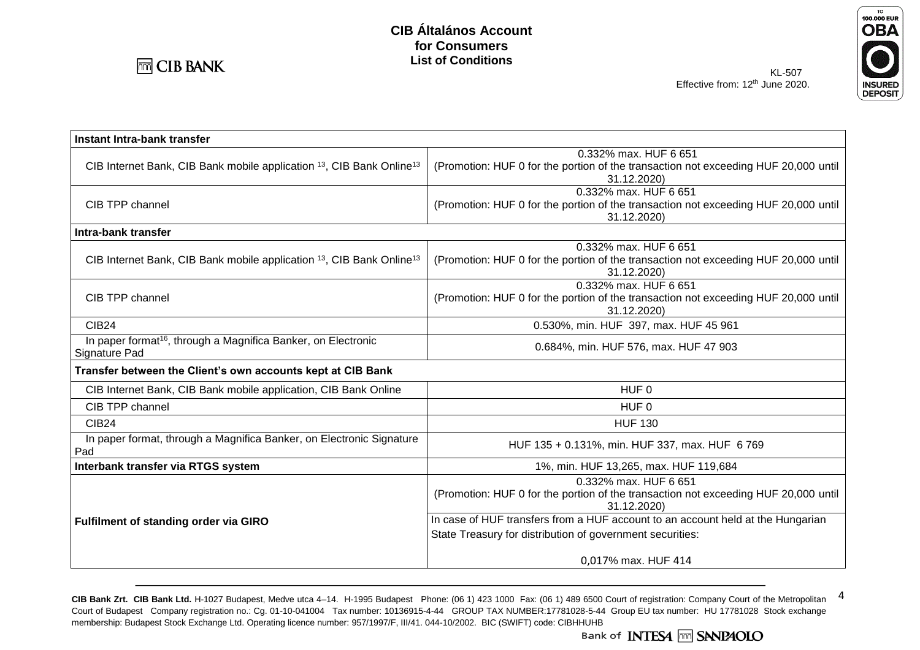

**OBA INSURED**<br>DEPOSIT

TO<br>100.000 EUR

| Instant Intra-bank transfer                                                                  |                                                                                                                             |  |
|----------------------------------------------------------------------------------------------|-----------------------------------------------------------------------------------------------------------------------------|--|
|                                                                                              | 0.332% max. HUF 6 651                                                                                                       |  |
| CIB Internet Bank, CIB Bank mobile application 13, CIB Bank Online <sup>13</sup>             | (Promotion: HUF 0 for the portion of the transaction not exceeding HUF 20,000 until<br>31.12.2020)                          |  |
|                                                                                              | 0.332% max. HUF 6 651                                                                                                       |  |
| CIB TPP channel                                                                              | (Promotion: HUF 0 for the portion of the transaction not exceeding HUF 20,000 until<br>31.12.2020)                          |  |
| Intra-bank transfer                                                                          |                                                                                                                             |  |
| CIB Internet Bank, CIB Bank mobile application <sup>13</sup> , CIB Bank Online <sup>13</sup> | 0.332% max. HUF 6 651<br>(Promotion: HUF 0 for the portion of the transaction not exceeding HUF 20,000 until<br>31.12.2020) |  |
|                                                                                              | 0.332% max, HUF 6 651                                                                                                       |  |
| CIB TPP channel                                                                              | (Promotion: HUF 0 for the portion of the transaction not exceeding HUF 20,000 until<br>31.12.2020)                          |  |
| CIB <sub>24</sub>                                                                            | 0.530%, min. HUF 397, max. HUF 45 961                                                                                       |  |
| In paper format <sup>16</sup> , through a Magnifica Banker, on Electronic<br>Signature Pad   | 0.684%, min. HUF 576, max. HUF 47 903                                                                                       |  |
| Transfer between the Client's own accounts kept at CIB Bank                                  |                                                                                                                             |  |
| CIB Internet Bank, CIB Bank mobile application, CIB Bank Online                              | HUF <sub>0</sub>                                                                                                            |  |
| CIB TPP channel                                                                              | HUF <sub>0</sub>                                                                                                            |  |
| <b>CIB24</b>                                                                                 | <b>HUF 130</b>                                                                                                              |  |
| In paper format, through a Magnifica Banker, on Electronic Signature<br>Pad                  | HUF 135 + 0.131%, min. HUF 337, max. HUF 6769                                                                               |  |
| Interbank transfer via RTGS system                                                           | 1%, min. HUF 13,265, max. HUF 119,684                                                                                       |  |
|                                                                                              | 0.332% max. HUF 6 651                                                                                                       |  |
|                                                                                              | (Promotion: HUF 0 for the portion of the transaction not exceeding HUF 20,000 until<br>31.12.2020)                          |  |
| Fulfilment of standing order via GIRO                                                        | In case of HUF transfers from a HUF account to an account held at the Hungarian                                             |  |
|                                                                                              | State Treasury for distribution of government securities:                                                                   |  |
|                                                                                              | 0,017% max. HUF 414                                                                                                         |  |

CIB Bank Zrt. CIB Bank Ltd. H-1027 Budapest, Medve utca 4–14. H-1995 Budapest Phone: (06 1) 423 1000 Fax: (06 1) 489 6500 Court of registration: Company Court of the Metropolitan 4 Court of Budapest Company registration no.: Cg. 01-10-041004 Tax number: 10136915-4-44 GROUP TAX NUMBER:17781028-5-44 Group EU tax number: HU 17781028 Stock exchange membership: Budapest Stock Exchange Ltd. Operating licence number: 957/1997/F, III/41. 044-10/2002. BIC (SWIFT) code: CIBHHUHB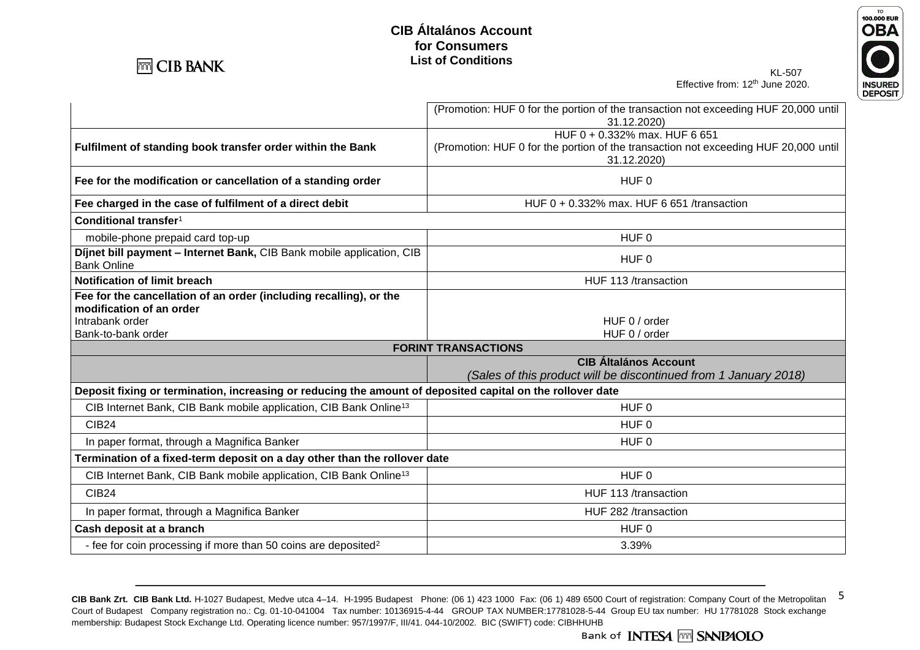

# KL-507



Effective from: 12<sup>th</sup> June 2020.

|                                                                                                            | (Promotion: HUF 0 for the portion of the transaction not exceeding HUF 20,000 until<br>31.12.2020) |
|------------------------------------------------------------------------------------------------------------|----------------------------------------------------------------------------------------------------|
|                                                                                                            | HUF 0 + 0.332% max. HUF 6 651                                                                      |
| Fulfilment of standing book transfer order within the Bank                                                 | (Promotion: HUF 0 for the portion of the transaction not exceeding HUF 20,000 until<br>31.12.2020) |
| Fee for the modification or cancellation of a standing order                                               | HUF <sub>0</sub>                                                                                   |
| Fee charged in the case of fulfilment of a direct debit                                                    | HUF 0 + 0.332% max. HUF 6 651 /transaction                                                         |
| Conditional transfer <sup>1</sup>                                                                          |                                                                                                    |
| mobile-phone prepaid card top-up                                                                           | HUF <sub>0</sub>                                                                                   |
| Dijnet bill payment - Internet Bank, CIB Bank mobile application, CIB<br><b>Bank Online</b>                | HUF <sub>0</sub>                                                                                   |
| <b>Notification of limit breach</b>                                                                        | HUF 113 /transaction                                                                               |
| Fee for the cancellation of an order (including recalling), or the<br>modification of an order             |                                                                                                    |
| Intrabank order                                                                                            | HUF 0 / order                                                                                      |
| Bank-to-bank order                                                                                         | HUF 0 / order                                                                                      |
|                                                                                                            | <b>FORINT TRANSACTIONS</b>                                                                         |
|                                                                                                            | <b>CIB Általános Account</b><br>(Sales of this product will be discontinued from 1 January 2018)   |
| Deposit fixing or termination, increasing or reducing the amount of deposited capital on the rollover date |                                                                                                    |
| CIB Internet Bank, CIB Bank mobile application, CIB Bank Online <sup>13</sup>                              | HUF <sub>0</sub>                                                                                   |
| <b>CIB24</b>                                                                                               | HUF <sub>0</sub>                                                                                   |
| In paper format, through a Magnifica Banker                                                                | HUF <sub>0</sub>                                                                                   |
| Termination of a fixed-term deposit on a day other than the rollover date                                  |                                                                                                    |
| CIB Internet Bank, CIB Bank mobile application, CIB Bank Online <sup>13</sup>                              | HUF <sub>0</sub>                                                                                   |
| <b>CIB24</b>                                                                                               | HUF 113 /transaction                                                                               |
| In paper format, through a Magnifica Banker                                                                | HUF 282 /transaction                                                                               |
| Cash deposit at a branch                                                                                   | HUF <sub>0</sub>                                                                                   |
| - fee for coin processing if more than 50 coins are deposited <sup>2</sup>                                 | 3.39%                                                                                              |

CIB Bank Zrt. CIB Bank Ltd. H-1027 Budapest, Medve utca 4-14. H-1995 Budapest Phone: (06 1) 423 1000 Fax: (06 1) 489 6500 Court of registration: Company Court of the Metropolitan 5 Court of Budapest Company registration no.: Cg. 01-10-041004 Tax number: 10136915-4-44 GROUP TAX NUMBER:17781028-5-44 Group EU tax number: HU 17781028 Stock exchange membership: Budapest Stock Exchange Ltd. Operating licence number: 957/1997/F, III/41. 044-10/2002. BIC (SWIFT) code: CIBHHUHB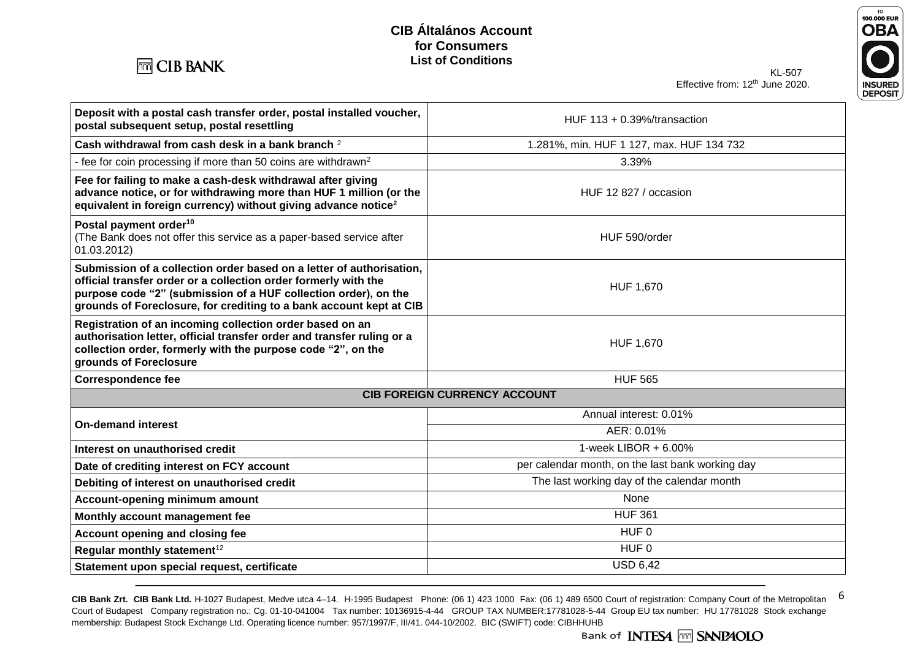



| Deposit with a postal cash transfer order, postal installed voucher,<br>postal subsequent setup, postal resettling                                                                                                                                                                | HUF $113 + 0.39\frac{\%}{\tan\theta}$            |  |
|-----------------------------------------------------------------------------------------------------------------------------------------------------------------------------------------------------------------------------------------------------------------------------------|--------------------------------------------------|--|
| Cash withdrawal from cash desk in a bank branch 2                                                                                                                                                                                                                                 | 1.281%, min. HUF 1 127, max. HUF 134 732         |  |
| - fee for coin processing if more than 50 coins are withdrawn <sup>2</sup>                                                                                                                                                                                                        | 3.39%                                            |  |
| Fee for failing to make a cash-desk withdrawal after giving<br>advance notice, or for withdrawing more than HUF 1 million (or the<br>equivalent in foreign currency) without giving advance notice <sup>2</sup>                                                                   | HUF 12 827 / occasion                            |  |
| Postal payment order <sup>10</sup><br>(The Bank does not offer this service as a paper-based service after<br>01.03.2012)                                                                                                                                                         | HUF 590/order                                    |  |
| Submission of a collection order based on a letter of authorisation,<br>official transfer order or a collection order formerly with the<br>purpose code "2" (submission of a HUF collection order), on the<br>grounds of Foreclosure, for crediting to a bank account kept at CIB | <b>HUF 1,670</b>                                 |  |
| Registration of an incoming collection order based on an<br>authorisation letter, official transfer order and transfer ruling or a<br>collection order, formerly with the purpose code "2", on the<br>grounds of Foreclosure                                                      | HUF 1,670                                        |  |
| <b>Correspondence fee</b>                                                                                                                                                                                                                                                         | <b>HUF 565</b>                                   |  |
| <b>CIB FOREIGN CURRENCY ACCOUNT</b>                                                                                                                                                                                                                                               |                                                  |  |
| <b>On-demand interest</b>                                                                                                                                                                                                                                                         | Annual interest: 0.01%                           |  |
|                                                                                                                                                                                                                                                                                   | AER: 0.01%                                       |  |
| Interest on unauthorised credit                                                                                                                                                                                                                                                   | 1-week LIBOR $+6.00\%$                           |  |
| Date of crediting interest on FCY account                                                                                                                                                                                                                                         | per calendar month, on the last bank working day |  |
| Debiting of interest on unauthorised credit                                                                                                                                                                                                                                       | The last working day of the calendar month       |  |
| Account-opening minimum amount                                                                                                                                                                                                                                                    | None                                             |  |
| Monthly account management fee                                                                                                                                                                                                                                                    | <b>HUF 361</b>                                   |  |
| Account opening and closing fee                                                                                                                                                                                                                                                   | HUF 0                                            |  |
| Regular monthly statement <sup>12</sup>                                                                                                                                                                                                                                           | HUF 0                                            |  |
| Statement upon special request, certificate                                                                                                                                                                                                                                       | <b>USD 6,42</b>                                  |  |

CIB Bank Zrt. CIB Bank Ltd. H-1027 Budapest, Medve utca 4-14. H-1995 Budapest Phone: (06 1) 423 1000 Fax: (06 1) 489 6500 Court of registration: Company Court of the Metropolitan 6 Court of Budapest Company registration no.: Cg. 01-10-041004 Tax number: 10136915-4-44 GROUP TAX NUMBER:17781028-5-44 Group EU tax number: HU 17781028 Stock exchange membership: Budapest Stock Exchange Ltd. Operating licence number: 957/1997/F, III/41. 044-10/2002. BIC (SWIFT) code: CIBHHUHB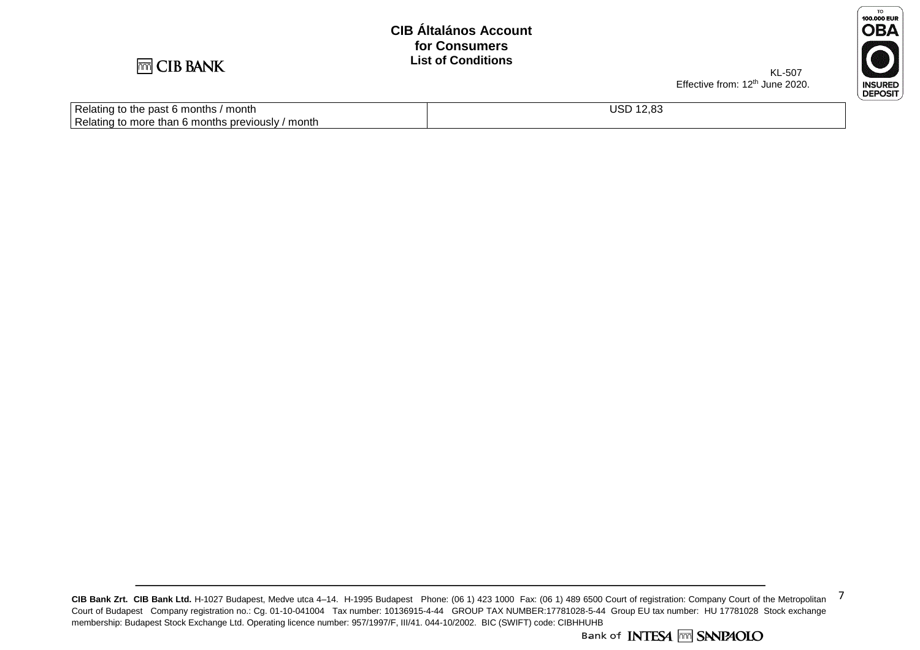

Relating to more than 6 months previously / month

Relating to the past 6 months / month

KL-507 Effective from: 12<sup>th</sup> June 2020.



USD 12,83

CIB Bank Zrt. CIB Bank Ltd. H-1027 Budapest, Medve utca 4-14. H-1995 Budapest Phone: (06 1) 423 1000 Fax: (06 1) 489 6500 Court of registration: Company Court of the Metropolitan 7 Court of Budapest Company registration no.: Cg. 01-10-041004 Tax number: 10136915-4-44 GROUP TAX NUMBER:17781028-5-44 Group EU tax number: HU 17781028 Stock exchange membership: Budapest Stock Exchange Ltd. Operating licence number: 957/1997/F, III/41. 044-10/2002. BIC (SWIFT) code: CIBHHUHB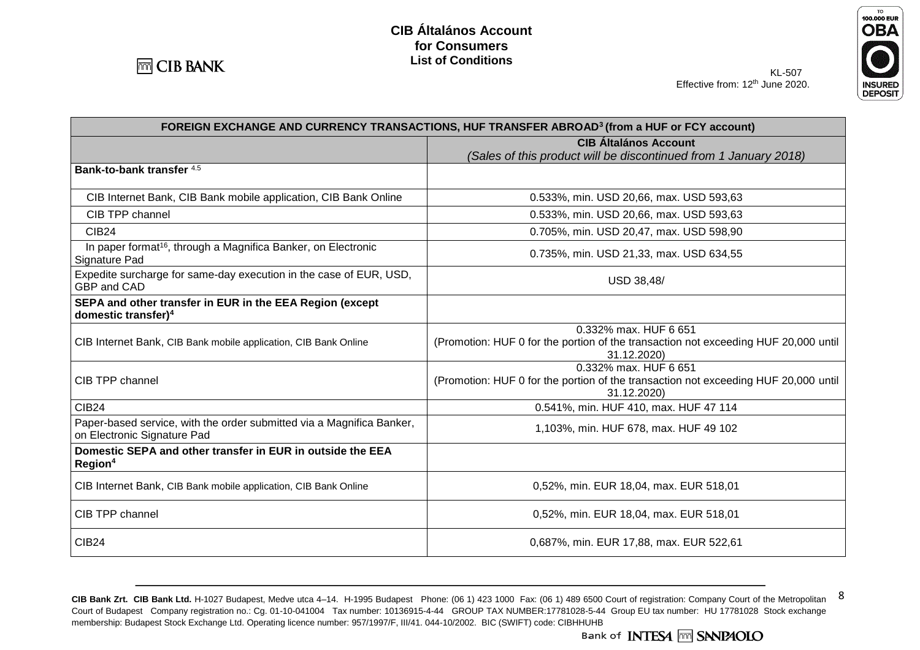



| FOREIGN EXCHANGE AND CURRENCY TRANSACTIONS, HUF TRANSFER ABROAD <sup>3</sup> (from a HUF or FCY account) |                                                                                                                             |
|----------------------------------------------------------------------------------------------------------|-----------------------------------------------------------------------------------------------------------------------------|
|                                                                                                          | <b>CIB Általános Account</b>                                                                                                |
|                                                                                                          | (Sales of this product will be discontinued from 1 January 2018)                                                            |
| Bank-to-bank transfer 4.5                                                                                |                                                                                                                             |
| CIB Internet Bank, CIB Bank mobile application, CIB Bank Online                                          | 0.533%, min. USD 20,66, max. USD 593,63                                                                                     |
| CIB TPP channel                                                                                          | 0.533%, min. USD 20,66, max. USD 593,63                                                                                     |
| <b>CIB24</b>                                                                                             | 0.705%, min. USD 20,47, max. USD 598,90                                                                                     |
| In paper format <sup>16</sup> , through a Magnifica Banker, on Electronic<br>Signature Pad               | 0.735%, min. USD 21,33, max. USD 634,55                                                                                     |
| Expedite surcharge for same-day execution in the case of EUR, USD,<br>GBP and CAD                        | USD 38,48/                                                                                                                  |
| SEPA and other transfer in EUR in the EEA Region (except<br>domestic transfer) <sup>4</sup>              |                                                                                                                             |
| CIB Internet Bank, CIB Bank mobile application, CIB Bank Online                                          | 0.332% max. HUF 6 651<br>(Promotion: HUF 0 for the portion of the transaction not exceeding HUF 20,000 until<br>31.12.2020) |
| CIB TPP channel                                                                                          | 0.332% max. HUF 6 651<br>(Promotion: HUF 0 for the portion of the transaction not exceeding HUF 20,000 until<br>31.12.2020) |
| <b>CIB24</b>                                                                                             | 0.541%, min. HUF 410, max. HUF 47 114                                                                                       |
| Paper-based service, with the order submitted via a Magnifica Banker,<br>on Electronic Signature Pad     | 1,103%, min. HUF 678, max. HUF 49 102                                                                                       |
| Domestic SEPA and other transfer in EUR in outside the EEA<br>Region <sup>4</sup>                        |                                                                                                                             |
| CIB Internet Bank, CIB Bank mobile application, CIB Bank Online                                          | 0,52%, min. EUR 18,04, max. EUR 518,01                                                                                      |
| CIB TPP channel                                                                                          | 0,52%, min. EUR 18,04, max. EUR 518,01                                                                                      |
| <b>CIB24</b>                                                                                             | 0,687%, min. EUR 17,88, max. EUR 522,61                                                                                     |

CIB Bank Zrt. CIB Bank Ltd. H-1027 Budapest, Medve utca 4–14. H-1995 Budapest Phone: (06 1) 423 1000 Fax: (06 1) 489 6500 Court of registration: Company Court of the Metropolitan 8 Court of Budapest Company registration no.: Cg. 01-10-041004 Tax number: 10136915-4-44 GROUP TAX NUMBER:17781028-5-44 Group EU tax number: HU 17781028 Stock exchange membership: Budapest Stock Exchange Ltd. Operating licence number: 957/1997/F, III/41. 044-10/2002. BIC (SWIFT) code: CIBHHUHB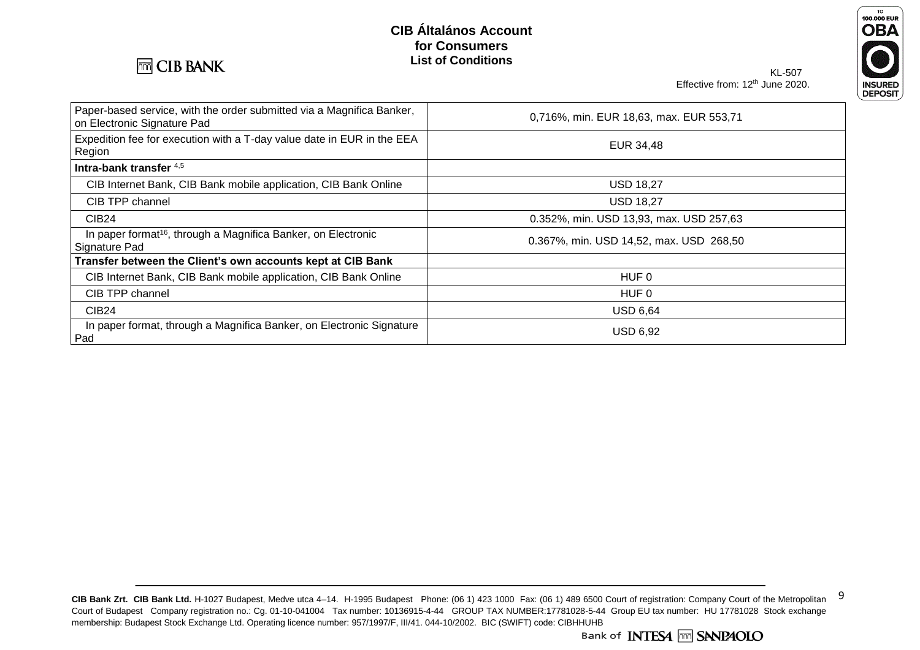

### TO<br>100.000 EUR **OBA** INSURED<br>DEPOSIT

KL-507 Effective from: 12<sup>th</sup> June 2020.

| Paper-based service, with the order submitted via a Magnifica Banker,<br>on Electronic Signature Pad | 0,716%, min. EUR 18,63, max. EUR 553,71 |
|------------------------------------------------------------------------------------------------------|-----------------------------------------|
| Expedition fee for execution with a T-day value date in EUR in the EEA<br>Region                     | EUR 34,48                               |
| Intra-bank transfer 4,5                                                                              |                                         |
| CIB Internet Bank, CIB Bank mobile application, CIB Bank Online                                      | <b>USD 18,27</b>                        |
| CIB TPP channel                                                                                      | <b>USD 18,27</b>                        |
| <b>CIB24</b>                                                                                         | 0.352%, min. USD 13,93, max. USD 257,63 |
| In paper format <sup>16</sup> , through a Magnifica Banker, on Electronic<br>Signature Pad           | 0.367%, min. USD 14,52, max. USD 268,50 |
| Transfer between the Client's own accounts kept at CIB Bank                                          |                                         |
| CIB Internet Bank, CIB Bank mobile application, CIB Bank Online                                      | HUF 0                                   |
| CIB TPP channel                                                                                      | HUF 0                                   |
| CIB24                                                                                                | <b>USD 6,64</b>                         |
| In paper format, through a Magnifica Banker, on Electronic Signature<br>Pad                          | <b>USD 6,92</b>                         |

CIB Bank Zrt. CIB Bank Ltd. H-1027 Budapest, Medve utca 4-14. H-1995 Budapest Phone: (06 1) 423 1000 Fax: (06 1) 489 6500 Court of registration: Company Court of the Metropolitan 9 Court of Budapest Company registration no.: Cg. 01-10-041004 Tax number: 10136915-4-44 GROUP TAX NUMBER:17781028-5-44 Group EU tax number: HU 17781028 Stock exchange membership: Budapest Stock Exchange Ltd. Operating licence number: 957/1997/F, III/41. 044-10/2002. BIC (SWIFT) code: CIBHHUHB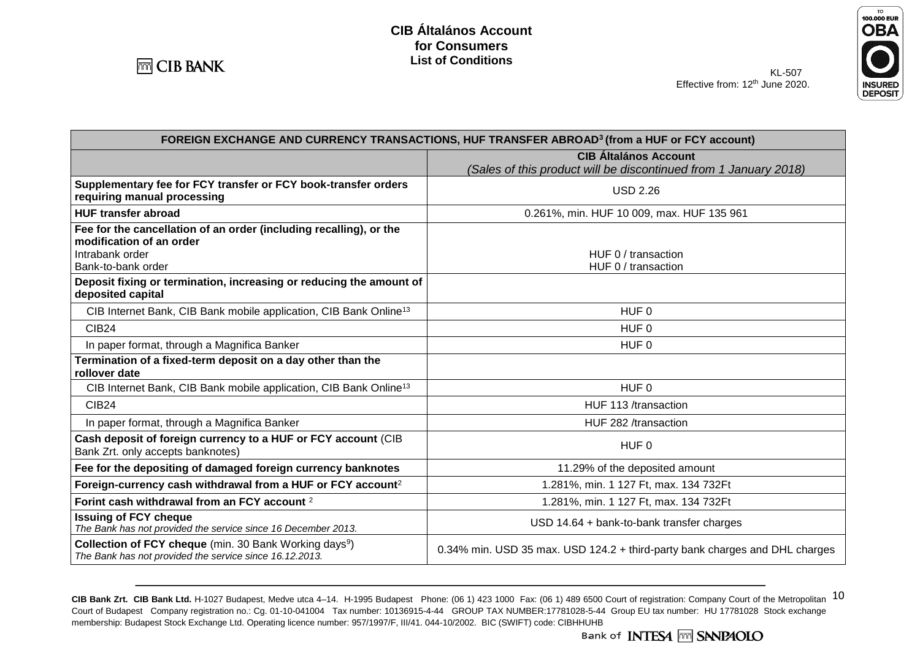

**Issuing of FCY cheque**

**Collection of FCY cheque** (min. 30 Bank Working days<sup>9</sup>)





CIB Bank Zrt. CIB Bank Ltd. H-1027 Budapest, Medve utca 4–14. H-1995 Budapest Phone: (06 1) 423 1000 Fax: (06 1) 489 6500 Court of registration: Company Court of the Metropolitan 10 Court of Budapest Company registration no.: Cg. 01-10-041004 Tax number: 10136915-4-44 GROUP TAX NUMBER:17781028-5-44 Group EU tax number: HU 17781028 Stock exchange membership: Budapest Stock Exchange Ltd. Operating licence number: 957/1997/F, III/41. 044-10/2002. BIC (SWIFT) code: CIBHHUHB

*The Bank has not provided the service since 16.12.2013.* 0.34% min. USD 35 max. USD 124.2 + third-party bank charges and DHL charges

**Forint cash withdrawal from an FCY account 2** 1.281%, min. 1 127 Ft, max. 134 732Ft

**The Bank has not provided the service since 16 December 2013.** USD 14.64 + bank-to-bank transfer charges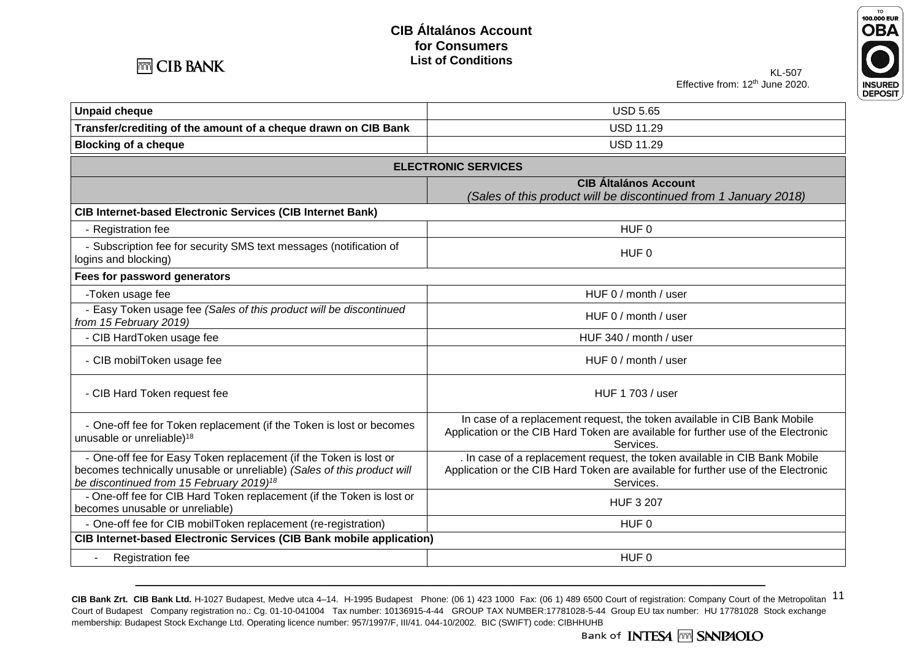



KL-507 Effective from: 12<sup>th</sup> June 2020.

| <b>Unpaid cheque</b>                                                                                                                                                                                 | <b>USD 5.65</b>                                                                                                                                                              |  |
|------------------------------------------------------------------------------------------------------------------------------------------------------------------------------------------------------|------------------------------------------------------------------------------------------------------------------------------------------------------------------------------|--|
| Transfer/crediting of the amount of a cheque drawn on CIB Bank                                                                                                                                       | <b>USD 11.29</b>                                                                                                                                                             |  |
| <b>Blocking of a cheque</b>                                                                                                                                                                          | <b>USD 11.29</b>                                                                                                                                                             |  |
| <b>ELECTRONIC SERVICES</b>                                                                                                                                                                           |                                                                                                                                                                              |  |
|                                                                                                                                                                                                      | <b>CIB Általános Account</b><br>(Sales of this product will be discontinued from 1 January 2018)                                                                             |  |
| CIB Internet-based Electronic Services (CIB Internet Bank)                                                                                                                                           |                                                                                                                                                                              |  |
| - Registration fee                                                                                                                                                                                   | HUF <sub>0</sub>                                                                                                                                                             |  |
| - Subscription fee for security SMS text messages (notification of<br>logins and blocking)                                                                                                           | HUF <sub>0</sub>                                                                                                                                                             |  |
| Fees for password generators                                                                                                                                                                         |                                                                                                                                                                              |  |
| -Token usage fee                                                                                                                                                                                     | HUF 0 / month / user                                                                                                                                                         |  |
| - Easy Token usage fee (Sales of this product will be discontinued<br>from 15 February 2019)                                                                                                         | HUF 0 / month / user                                                                                                                                                         |  |
| - CIB HardToken usage fee                                                                                                                                                                            | HUF 340 / month / user                                                                                                                                                       |  |
| - CIB mobilToken usage fee                                                                                                                                                                           | HUF 0 / month / user                                                                                                                                                         |  |
| - CIB Hard Token request fee                                                                                                                                                                         | HUF 1 703 / user                                                                                                                                                             |  |
| - One-off fee for Token replacement (if the Token is lost or becomes<br>unusable or unreliable) <sup>18</sup>                                                                                        | In case of a replacement request, the token available in CIB Bank Mobile<br>Application or the CIB Hard Token are available for further use of the Electronic<br>Services.   |  |
| - One-off fee for Easy Token replacement (if the Token is lost or<br>becomes technically unusable or unreliable) (Sales of this product will<br>be discontinued from 15 February 2019) <sup>18</sup> | . In case of a replacement request, the token available in CIB Bank Mobile<br>Application or the CIB Hard Token are available for further use of the Electronic<br>Services. |  |
| - One-off fee for CIB Hard Token replacement (if the Token is lost or<br>becomes unusable or unreliable)                                                                                             | <b>HUF 3 207</b>                                                                                                                                                             |  |
| - One-off fee for CIB mobilToken replacement (re-registration)                                                                                                                                       | HUF <sub>0</sub>                                                                                                                                                             |  |
| <b>CIB Internet-based Electronic Services (CIB Bank mobile application)</b>                                                                                                                          |                                                                                                                                                                              |  |
| Registration fee                                                                                                                                                                                     | HUF <sub>0</sub>                                                                                                                                                             |  |

CIB Bank Zrt. CIB Bank Ltd. H-1027 Budapest, Medve utca 4-14. H-1995 Budapest Phone: (06 1) 423 1000 Fax: (06 1) 489 6500 Court of registration: Company Court of the Metropolitan  $11$ Court of Budapest Company registration no.: Cg. 01-10-041004 Tax number: 10136915-4-44 GROUP TAX NUMBER:17781028-5-44 Group EU tax number: HU 17781028 Stock exchange membership: Budapest Stock Exchange Ltd. Operating licence number: 957/1997/F, III/41. 044-10/2002. BIC (SWIFT) code: CIBHHUHB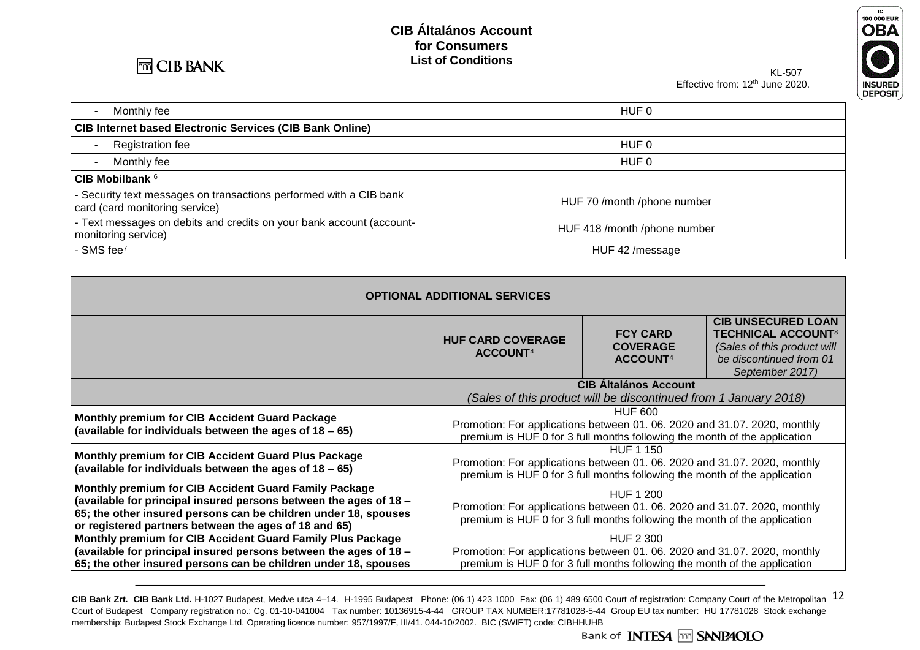



KL-507 Effective from: 12<sup>th</sup> June 2020.

| Monthly fee                                                                                          | HUF 0                        |
|------------------------------------------------------------------------------------------------------|------------------------------|
| <b>CIB Internet based Electronic Services (CIB Bank Online)</b>                                      |                              |
| Registration fee                                                                                     | HUF 0                        |
| Monthly fee                                                                                          | HUF 0                        |
| CIB Mobilbank $6$                                                                                    |                              |
| - Security text messages on transactions performed with a CIB bank<br>card (card monitoring service) | HUF 70 /month /phone number  |
| - Text messages on debits and credits on your bank account (account-<br>monitoring service)          | HUF 418 /month /phone number |
| - SMS fee <sup>7</sup>                                                                               | HUF 42 /message              |

| <b>OPTIONAL ADDITIONAL SERVICES</b>                                                                                                                                                                                                                    |                                                                                                                                                                            |                                                            |                                                                                                                                                |  |
|--------------------------------------------------------------------------------------------------------------------------------------------------------------------------------------------------------------------------------------------------------|----------------------------------------------------------------------------------------------------------------------------------------------------------------------------|------------------------------------------------------------|------------------------------------------------------------------------------------------------------------------------------------------------|--|
|                                                                                                                                                                                                                                                        | <b>HUF CARD COVERAGE</b><br>ACCOUNT <sup>4</sup>                                                                                                                           | <b>FCY CARD</b><br><b>COVERAGE</b><br>ACCOUNT <sup>4</sup> | <b>CIB UNSECURED LOAN</b><br><b>TECHNICAL ACCOUNT<sup>8</sup></b><br>(Sales of this product will<br>be discontinued from 01<br>September 2017) |  |
|                                                                                                                                                                                                                                                        | <b>CIB Altalános Account</b>                                                                                                                                               |                                                            |                                                                                                                                                |  |
|                                                                                                                                                                                                                                                        | (Sales of this product will be discontinued from 1 January 2018)                                                                                                           |                                                            |                                                                                                                                                |  |
| <b>Monthly premium for CIB Accident Guard Package</b><br>(available for individuals between the ages of 18 - 65)                                                                                                                                       | <b>HUF 600</b>                                                                                                                                                             |                                                            |                                                                                                                                                |  |
|                                                                                                                                                                                                                                                        | Promotion: For applications between 01. 06. 2020 and 31.07. 2020, monthly<br>premium is HUF 0 for 3 full months following the month of the application                     |                                                            |                                                                                                                                                |  |
| Monthly premium for CIB Accident Guard Plus Package                                                                                                                                                                                                    | <b>HUF 1 150</b>                                                                                                                                                           |                                                            |                                                                                                                                                |  |
| (available for individuals between the ages of 18 – 65)                                                                                                                                                                                                | Promotion: For applications between 01. 06. 2020 and 31.07. 2020, monthly<br>premium is HUF 0 for 3 full months following the month of the application                     |                                                            |                                                                                                                                                |  |
| Monthly premium for CIB Accident Guard Family Package<br>(available for principal insured persons between the ages of 18 -<br>65; the other insured persons can be children under 18, spouses<br>or registered partners between the ages of 18 and 65) | <b>HUF 1 200</b><br>Promotion: For applications between 01. 06. 2020 and 31.07. 2020, monthly<br>premium is HUF 0 for 3 full months following the month of the application |                                                            |                                                                                                                                                |  |
| Monthly premium for CIB Accident Guard Family Plus Package                                                                                                                                                                                             | <b>HUF 2 300</b>                                                                                                                                                           |                                                            |                                                                                                                                                |  |
| (available for principal insured persons between the ages of 18 -                                                                                                                                                                                      | Promotion: For applications between 01. 06. 2020 and 31.07. 2020, monthly                                                                                                  |                                                            |                                                                                                                                                |  |
| 65; the other insured persons can be children under 18, spouses                                                                                                                                                                                        | premium is HUF 0 for 3 full months following the month of the application                                                                                                  |                                                            |                                                                                                                                                |  |

CIB Bank Zrt. CIB Bank Ltd. H-1027 Budapest, Medve utca 4-14. H-1995 Budapest Phone: (06 1) 423 1000 Fax: (06 1) 489 6500 Court of registration: Company Court of the Metropolitan 12 Court of Budapest Company registration no.: Cg. 01-10-041004 Tax number: 10136915-4-44 GROUP TAX NUMBER:17781028-5-44 Group EU tax number: HU 17781028 Stock exchange membership: Budapest Stock Exchange Ltd. Operating licence number: 957/1997/F, III/41. 044-10/2002. BIC (SWIFT) code: CIBHHUHB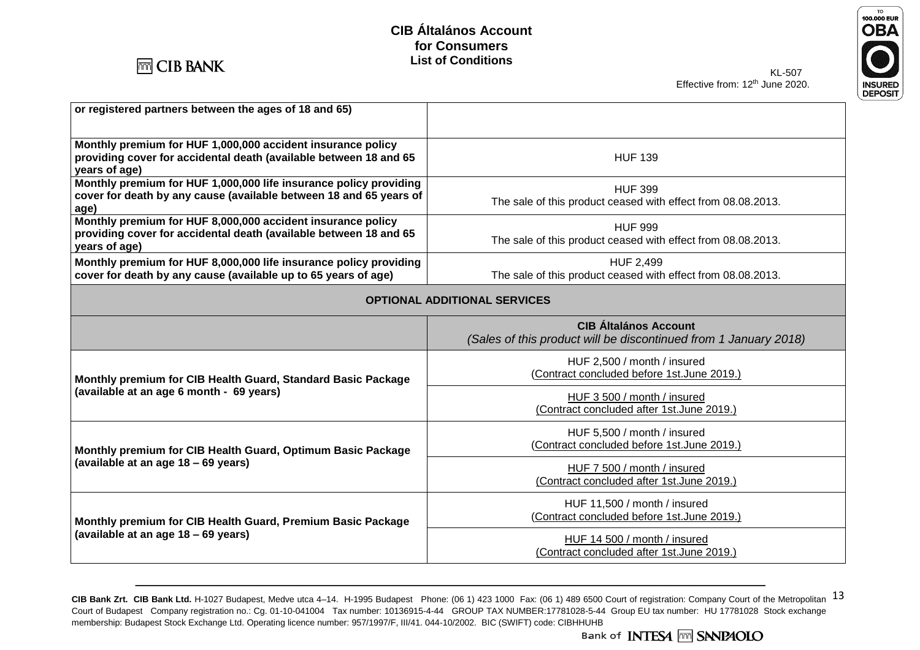



KL-507 Effective from: 12<sup>th</sup> June 2020.

| or registered partners between the ages of 18 and 65)                                                                                             |                                                                                  |  |  |
|---------------------------------------------------------------------------------------------------------------------------------------------------|----------------------------------------------------------------------------------|--|--|
| Monthly premium for HUF 1,000,000 accident insurance policy<br>providing cover for accidental death (available between 18 and 65<br>years of age) | <b>HUF 139</b>                                                                   |  |  |
| Monthly premium for HUF 1,000,000 life insurance policy providing<br>cover for death by any cause (available between 18 and 65 years of<br>age)   | <b>HUF 399</b><br>The sale of this product ceased with effect from 08.08.2013.   |  |  |
| Monthly premium for HUF 8,000,000 accident insurance policy<br>providing cover for accidental death (available between 18 and 65<br>years of age) | <b>HUF 999</b><br>The sale of this product ceased with effect from 08.08.2013.   |  |  |
| Monthly premium for HUF 8,000,000 life insurance policy providing<br>cover for death by any cause (available up to 65 years of age)               | <b>HUF 2,499</b><br>The sale of this product ceased with effect from 08.08.2013. |  |  |
| <b>OPTIONAL ADDITIONAL SERVICES</b>                                                                                                               |                                                                                  |  |  |
|                                                                                                                                                   | <b>CIB Általános Account</b>                                                     |  |  |
|                                                                                                                                                   | (Sales of this product will be discontinued from 1 January 2018)                 |  |  |
| Monthly premium for CIB Health Guard, Standard Basic Package                                                                                      | HUF 2,500 / month / insured<br>(Contract concluded before 1st. June 2019.)       |  |  |
| (available at an age 6 month - 69 years)                                                                                                          | HUF 3 500 / month / insured<br>(Contract concluded after 1st.June 2019.)         |  |  |
| Monthly premium for CIB Health Guard, Optimum Basic Package                                                                                       | HUF 5,500 / month / insured<br>(Contract concluded before 1st.June 2019.)        |  |  |
| (available at an age 18 - 69 years)                                                                                                               | HUF 7 500 / month / insured<br>(Contract concluded after 1st.June 2019.)         |  |  |
| Monthly premium for CIB Health Guard, Premium Basic Package                                                                                       | HUF 11,500 / month / insured<br>(Contract concluded before 1st.June 2019.)       |  |  |

CIB Bank Zrt. CIB Bank Ltd. H-1027 Budapest, Medve utca 4-14. H-1995 Budapest Phone: (06 1) 423 1000 Fax: (06 1) 489 6500 Court of registration: Company Court of the Metropolitan 13 Court of Budapest Company registration no.: Cg. 01-10-041004 Tax number: 10136915-4-44 GROUP TAX NUMBER:17781028-5-44 Group EU tax number: HU 17781028 Stock exchange membership: Budapest Stock Exchange Ltd. Operating licence number: 957/1997/F, III/41. 044-10/2002. BIC (SWIFT) code: CIBHHUHB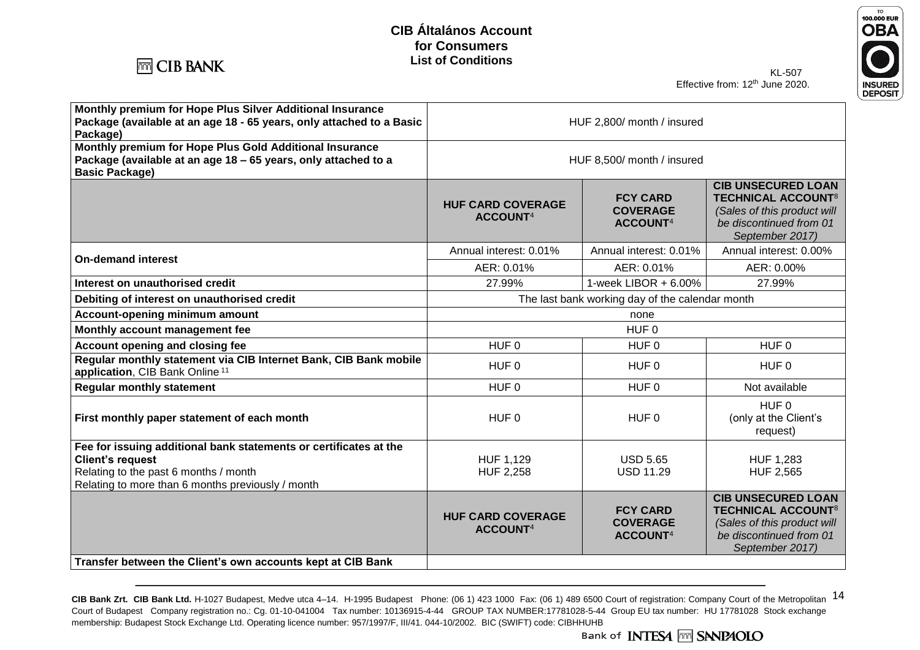



KL-507 Effective from: 12<sup>th</sup> June 2020.

| Monthly premium for Hope Plus Silver Additional Insurance<br>Package (available at an age 18 - 65 years, only attached to a Basic<br>Package)                                              | HUF 2,800/ month / insured                       |                                                            |                                                                                                                                                |
|--------------------------------------------------------------------------------------------------------------------------------------------------------------------------------------------|--------------------------------------------------|------------------------------------------------------------|------------------------------------------------------------------------------------------------------------------------------------------------|
| Monthly premium for Hope Plus Gold Additional Insurance<br>Package (available at an age 18 - 65 years, only attached to a<br><b>Basic Package)</b>                                         | HUF 8,500/ month / insured                       |                                                            |                                                                                                                                                |
|                                                                                                                                                                                            | <b>HUF CARD COVERAGE</b><br>ACCOUNT <sup>4</sup> | <b>FCY CARD</b><br><b>COVERAGE</b><br>ACCOUNT <sup>4</sup> | <b>CIB UNSECURED LOAN</b><br><b>TECHNICAL ACCOUNT<sup>8</sup></b><br>(Sales of this product will<br>be discontinued from 01<br>September 2017) |
| <b>On-demand interest</b>                                                                                                                                                                  | Annual interest: 0.01%                           | Annual interest: 0.01%                                     | Annual interest: 0.00%                                                                                                                         |
|                                                                                                                                                                                            | AER: 0.01%                                       | AER: 0.01%                                                 | AER: 0.00%                                                                                                                                     |
| Interest on unauthorised credit                                                                                                                                                            | 27.99%                                           | 1-week LIBOR $+6.00\%$                                     | 27.99%                                                                                                                                         |
| Debiting of interest on unauthorised credit                                                                                                                                                | The last bank working day of the calendar month  |                                                            |                                                                                                                                                |
| Account-opening minimum amount                                                                                                                                                             | none                                             |                                                            |                                                                                                                                                |
| Monthly account management fee                                                                                                                                                             | HUF 0                                            |                                                            |                                                                                                                                                |
| Account opening and closing fee<br>HUF <sub>0</sub>                                                                                                                                        |                                                  | HUF <sub>0</sub>                                           | HUF <sub>0</sub>                                                                                                                               |
| Regular monthly statement via CIB Internet Bank, CIB Bank mobile<br>application, CIB Bank Online <sup>11</sup>                                                                             | HUF 0                                            | HUF <sub>0</sub>                                           | HUF <sub>0</sub>                                                                                                                               |
| <b>Regular monthly statement</b>                                                                                                                                                           | HUF <sub>0</sub>                                 | HUF <sub>0</sub>                                           | Not available                                                                                                                                  |
| First monthly paper statement of each month                                                                                                                                                | HUF <sub>0</sub>                                 | HUF <sub>0</sub>                                           | HUF 0<br>(only at the Client's<br>request)                                                                                                     |
| Fee for issuing additional bank statements or certificates at the<br><b>Client's request</b><br>Relating to the past 6 months / month<br>Relating to more than 6 months previously / month | HUF 1,129<br><b>HUF 2,258</b>                    | <b>USD 5.65</b><br><b>USD 11.29</b>                        | <b>HUF 1,283</b><br><b>HUF 2,565</b>                                                                                                           |
|                                                                                                                                                                                            | <b>HUF CARD COVERAGE</b><br><b>ACCOUNT4</b>      | <b>FCY CARD</b><br><b>COVERAGE</b><br>ACCOUNT <sup>4</sup> | <b>CIB UNSECURED LOAN</b><br><b>TECHNICAL ACCOUNT<sup>8</sup></b><br>(Sales of this product will<br>be discontinued from 01<br>September 2017) |

**Transfer between the Client's own accounts kept at CIB Bank**

CIB Bank Zrt. CIB Bank Ltd. H-1027 Budapest, Medve utca 4-14. H-1995 Budapest Phone: (06 1) 423 1000 Fax: (06 1) 489 6500 Court of registration: Company Court of the Metropolitan 14 Court of Budapest Company registration no.: Cg. 01-10-041004 Tax number: 10136915-4-44 GROUP TAX NUMBER:17781028-5-44 Group EU tax number: HU 17781028 Stock exchange membership: Budapest Stock Exchange Ltd. Operating licence number: 957/1997/F, III/41. 044-10/2002. BIC (SWIFT) code: CIBHHUHB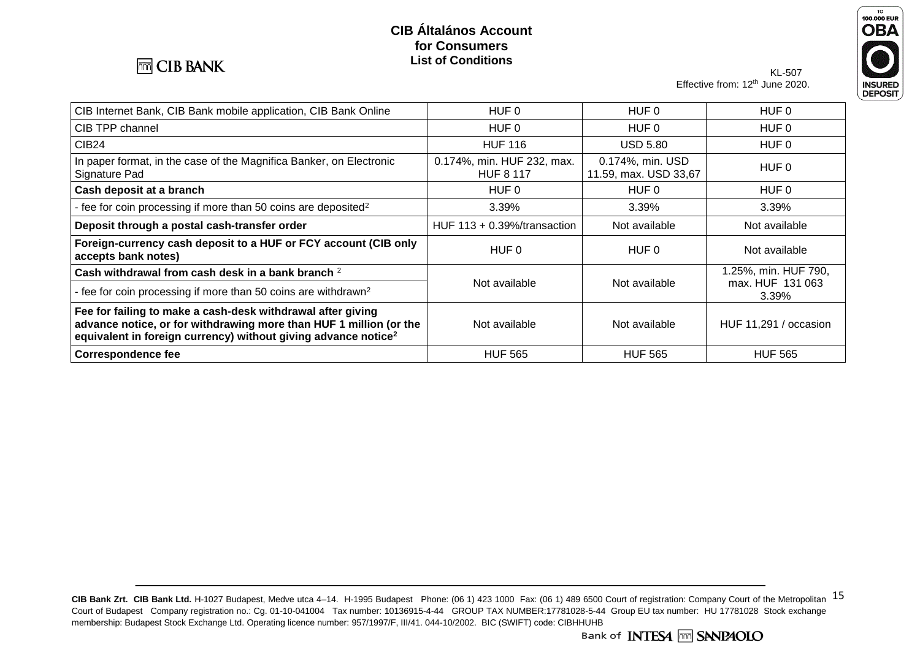

## KL-507



Effective from: 12<sup>th</sup> June 2020.

| CIB Internet Bank, CIB Bank mobile application, CIB Bank Online                                                                                                                                                 | HUF 0                                          | HUF 0                                              | HUF 0                     |
|-----------------------------------------------------------------------------------------------------------------------------------------------------------------------------------------------------------------|------------------------------------------------|----------------------------------------------------|---------------------------|
| CIB TPP channel                                                                                                                                                                                                 | HUF 0                                          | HUF 0                                              | HUF 0                     |
| <b>CIB24</b>                                                                                                                                                                                                    | <b>HUF 116</b>                                 | <b>USD 5.80</b>                                    | HUF 0                     |
| In paper format, in the case of the Magnifica Banker, on Electronic<br>Signature Pad                                                                                                                            | 0.174%, min. HUF 232, max.<br><b>HUF 8 117</b> | 0.174%, min. USD<br>HUF 0<br>11.59, max. USD 33,67 |                           |
| Cash deposit at a branch                                                                                                                                                                                        | HUF 0                                          | HUF 0                                              | HUF 0                     |
| - fee for coin processing if more than 50 coins are deposited <sup>2</sup>                                                                                                                                      | 3.39%                                          | 3.39%                                              | 3.39%                     |
| Deposit through a postal cash-transfer order                                                                                                                                                                    | HUF $113 + 0.39\frac{1}{10}$ transaction       | Not available                                      | Not available             |
| Foreign-currency cash deposit to a HUF or FCY account (CIB only<br>accepts bank notes)                                                                                                                          | HUF 0                                          | HUF 0                                              | Not available             |
| Cash withdrawal from cash desk in a bank branch 2                                                                                                                                                               |                                                | 1.25%, min. HUF 790,                               |                           |
| - fee for coin processing if more than 50 coins are withdrawn <sup>2</sup>                                                                                                                                      | Not available                                  | Not available                                      | max. HUF 131 063<br>3.39% |
| Fee for failing to make a cash-desk withdrawal after giving<br>advance notice, or for withdrawing more than HUF 1 million (or the<br>equivalent in foreign currency) without giving advance notice <sup>2</sup> | Not available                                  | Not available                                      | HUF 11,291 / occasion     |
| <b>Correspondence fee</b>                                                                                                                                                                                       | <b>HUF 565</b>                                 | <b>HUF 565</b>                                     | <b>HUF 565</b>            |

CIB Bank Zrt. CIB Bank Ltd. H-1027 Budapest, Medve utca 4-14. H-1995 Budapest Phone: (06 1) 423 1000 Fax: (06 1) 489 6500 Court of registration: Company Court of the Metropolitan 15 Court of Budapest Company registration no.: Cg. 01-10-041004 Tax number: 10136915-4-44 GROUP TAX NUMBER:17781028-5-44 Group EU tax number: HU 17781028 Stock exchange membership: Budapest Stock Exchange Ltd. Operating licence number: 957/1997/F, III/41. 044-10/2002. BIC (SWIFT) code: CIBHHUHB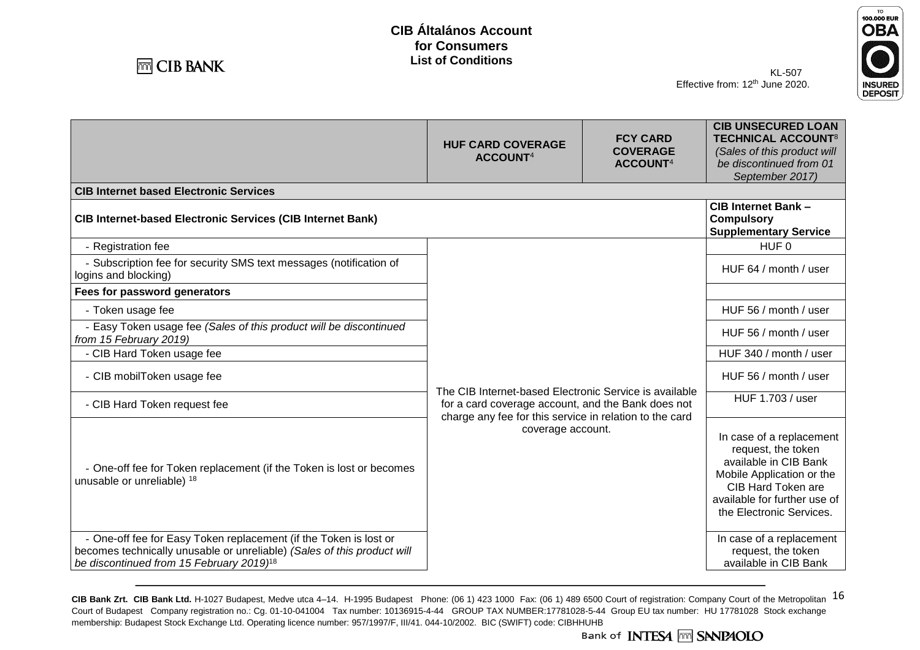**HUF CARD COVERAGE ACCOUNT**<sup>4</sup>



KL-507 Effective from: 12<sup>th</sup> June 2020.



**TECHNICAL ACCOUNT**<sup>8</sup> *(Sales of this product will* 

**CIB UNSECURED LOAN** 

**FCY CARD COVERAGE ACCOUNT**<sup>4</sup>

|                                                                                                                                                                                                      |                                                                                                                                                                         | ACCOUNT <sup>4</sup>                                                                                                                                                                          | be discontinued from 01<br>September 2017)                                      |
|------------------------------------------------------------------------------------------------------------------------------------------------------------------------------------------------------|-------------------------------------------------------------------------------------------------------------------------------------------------------------------------|-----------------------------------------------------------------------------------------------------------------------------------------------------------------------------------------------|---------------------------------------------------------------------------------|
| <b>CIB Internet based Electronic Services</b>                                                                                                                                                        |                                                                                                                                                                         |                                                                                                                                                                                               |                                                                                 |
| <b>CIB Internet-based Electronic Services (CIB Internet Bank)</b>                                                                                                                                    |                                                                                                                                                                         |                                                                                                                                                                                               | <b>CIB Internet Bank -</b><br><b>Compulsory</b><br><b>Supplementary Service</b> |
| - Registration fee                                                                                                                                                                                   |                                                                                                                                                                         |                                                                                                                                                                                               | HUF <sub>0</sub>                                                                |
| - Subscription fee for security SMS text messages (notification of<br>logins and blocking)                                                                                                           |                                                                                                                                                                         |                                                                                                                                                                                               | HUF 64 / month / user                                                           |
| Fees for password generators                                                                                                                                                                         |                                                                                                                                                                         |                                                                                                                                                                                               |                                                                                 |
| - Token usage fee                                                                                                                                                                                    | The CIB Internet-based Electronic Service is available<br>for a card coverage account, and the Bank does not<br>charge any fee for this service in relation to the card |                                                                                                                                                                                               | HUF 56 / month / user                                                           |
| - Easy Token usage fee (Sales of this product will be discontinued<br>from 15 February 2019)                                                                                                         |                                                                                                                                                                         |                                                                                                                                                                                               | HUF 56 / month / user                                                           |
| - CIB Hard Token usage fee                                                                                                                                                                           |                                                                                                                                                                         |                                                                                                                                                                                               | HUF 340 / month / user                                                          |
| - CIB mobilToken usage fee                                                                                                                                                                           |                                                                                                                                                                         |                                                                                                                                                                                               | HUF 56 / month / user                                                           |
| - CIB Hard Token request fee                                                                                                                                                                         |                                                                                                                                                                         |                                                                                                                                                                                               | HUF 1.703 / user                                                                |
| - One-off fee for Token replacement (if the Token is lost or becomes<br>unusable or unreliable) 18                                                                                                   | coverage account.                                                                                                                                                       | In case of a replacement<br>request, the token<br>available in CIB Bank<br>Mobile Application or the<br><b>CIB Hard Token are</b><br>available for further use of<br>the Electronic Services. |                                                                                 |
| - One-off fee for Easy Token replacement (if the Token is lost or<br>becomes technically unusable or unreliable) (Sales of this product will<br>be discontinued from 15 February 2019) <sup>18</sup> |                                                                                                                                                                         |                                                                                                                                                                                               | In case of a replacement<br>request, the token<br>available in CIB Bank         |

CIB Bank Zrt. CIB Bank Ltd. H-1027 Budapest, Medve utca 4-14. H-1995 Budapest Phone: (06 1) 423 1000 Fax: (06 1) 489 6500 Court of registration: Company Court of the Metropolitan 16 Court of Budapest Company registration no.: Cg. 01-10-041004 Tax number: 10136915-4-44 GROUP TAX NUMBER:17781028-5-44 Group EU tax number: HU 17781028 Stock exchange membership: Budapest Stock Exchange Ltd. Operating licence number: 957/1997/F, III/41. 044-10/2002. BIC (SWIFT) code: CIBHHUHB

Bank of INTES4 MM SANPAOLO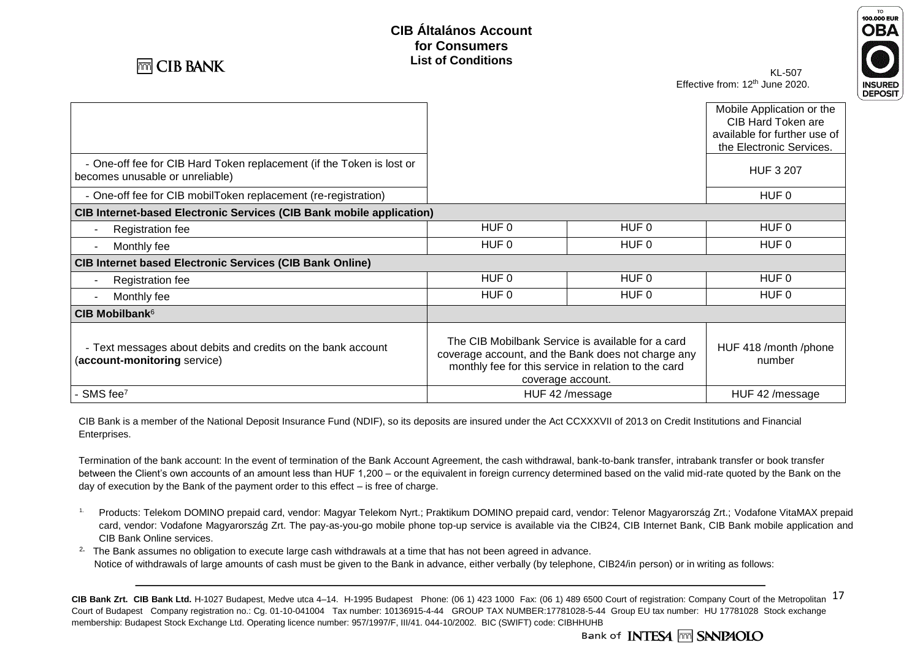



KL-507 Effective from: 12<sup>th</sup> June 2020.

|                                                                                                          |                                                                                                                                                                                      |                  | Mobile Application or the       |
|----------------------------------------------------------------------------------------------------------|--------------------------------------------------------------------------------------------------------------------------------------------------------------------------------------|------------------|---------------------------------|
|                                                                                                          |                                                                                                                                                                                      |                  | CIB Hard Token are              |
|                                                                                                          |                                                                                                                                                                                      |                  | available for further use of    |
|                                                                                                          |                                                                                                                                                                                      |                  | the Electronic Services.        |
| - One-off fee for CIB Hard Token replacement (if the Token is lost or<br>becomes unusable or unreliable) |                                                                                                                                                                                      |                  | <b>HUF 3 207</b>                |
| - One-off fee for CIB mobilToken replacement (re-registration)                                           |                                                                                                                                                                                      |                  | HUF 0                           |
| <b>CIB Internet-based Electronic Services (CIB Bank mobile application)</b>                              |                                                                                                                                                                                      |                  |                                 |
| <b>Registration fee</b>                                                                                  | HUF <sub>0</sub>                                                                                                                                                                     | HUF <sub>0</sub> | HUF 0                           |
| Monthly fee<br>$\overline{\phantom{a}}$                                                                  | HUF 0                                                                                                                                                                                | HUF 0            | HUF 0                           |
| <b>CIB Internet based Electronic Services (CIB Bank Online)</b>                                          |                                                                                                                                                                                      |                  |                                 |
| <b>Registration fee</b>                                                                                  | HUF <sub>0</sub>                                                                                                                                                                     | HUF 0            | HUF 0                           |
| Monthly fee                                                                                              | HUF 0                                                                                                                                                                                | HUF 0            | HUF 0                           |
| CIB Mobilbank <sup>6</sup>                                                                               |                                                                                                                                                                                      |                  |                                 |
| - Text messages about debits and credits on the bank account<br>(account-monitoring service)             | The CIB Mobilbank Service is available for a card<br>coverage account, and the Bank does not charge any<br>monthly fee for this service in relation to the card<br>coverage account. |                  | HUF 418 /month /phone<br>number |
| SMS fee <sup>7</sup>                                                                                     | HUF 42 /message                                                                                                                                                                      |                  | HUF 42 /message                 |

CIB Bank is a member of the National Deposit Insurance Fund (NDIF), so its deposits are insured under the Act CCXXXVII of 2013 on Credit Institutions and Financial Enterprises.

Termination of the bank account: In the event of termination of the Bank Account Agreement, the cash withdrawal, bank-to-bank transfer, intrabank transfer or book transfer between the Client's own accounts of an amount less than HUF 1,200 – or the equivalent in foreign currency determined based on the valid mid-rate quoted by the Bank on the day of execution by the Bank of the payment order to this effect – is free of charge.

1. Products: Telekom DOMINO prepaid card, vendor: Magyar Telekom Nyrt.; Praktikum DOMINO prepaid card, vendor: Telenor Magyarország Zrt.; Vodafone VitaMAX prepaid card, vendor: Vodafone Magyarország Zrt. The pay-as-you-go mobile phone top-up service is available via the CIB24, CIB Internet Bank, CIB Bank mobile application and CIB Bank Online services.

2**.** The Bank assumes no obligation to execute large cash withdrawals at a time that has not been agreed in advance. Notice of withdrawals of large amounts of cash must be given to the Bank in advance, either verbally (by telephone, CIB24/in person) or in writing as follows:

CIB Bank Zrt. CIB Bank Ltd. H-1027 Budapest, Medve utca 4–14. H-1995 Budapest Phone: (06 1) 423 1000 Fax: (06 1) 489 6500 Court of registration: Company Court of the Metropolitan 17 Court of Budapest Company registration no.: Cg. 01-10-041004 Tax number: 10136915-4-44 GROUP TAX NUMBER:17781028-5-44 Group EU tax number: HU 17781028 Stock exchange membership: Budapest Stock Exchange Ltd. Operating licence number: 957/1997/F, III/41. 044-10/2002. BIC (SWIFT) code: CIBHHUHB

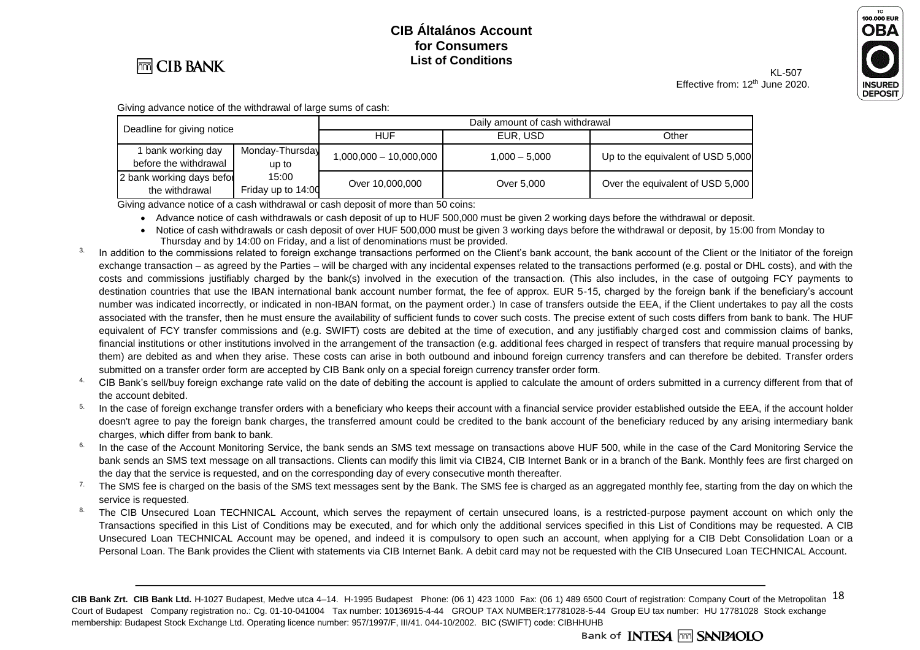

### KL-507



Effective from: 12<sup>th</sup> June 2020.

Giving advance notice of the withdrawal of large sums of cash:

| Deadline for giving notice |                                             | Daily amount of cash withdrawal |                          |                 |                                   |
|----------------------------|---------------------------------------------|---------------------------------|--------------------------|-----------------|-----------------------------------|
|                            |                                             |                                 | <b>HUF</b>               | EUR. USD        | Other                             |
|                            | bank working day<br>before the withdrawal   | Monday-Thursday<br>up to        | $1,000,000 - 10,000,000$ | $1.000 - 5.000$ | Up to the equivalent of USD 5,000 |
|                            | 2 bank working days befor<br>the withdrawal | 15:00<br>Friday up to 14:00     | Over 10,000,000          | Over 5,000      | Over the equivalent of USD 5,000  |

Giving advance notice of a cash withdrawal or cash deposit of more than 50 coins:

• Advance notice of cash withdrawals or cash deposit of up to HUF 500,000 must be given 2 working days before the withdrawal or deposit.

- Notice of cash withdrawals or cash deposit of over HUF 500,000 must be given 3 working days before the withdrawal or deposit, by 15:00 from Monday to Thursday and by 14:00 on Friday, and a list of denominations must be provided.
- <sup>3.</sup> In addition to the commissions related to foreign exchange transactions performed on the Client's bank account, the bank account of the Client or the Initiator of the foreign exchange transaction – as agreed by the Parties – will be charged with any incidental expenses related to the transactions performed (e.g. postal or DHL costs), and with the costs and commissions justifiably charged by the bank(s) involved in the execution of the transaction. (This also includes, in the case of outgoing FCY payments to destination countries that use the IBAN international bank account number format, the fee of approx. EUR 5-15, charged by the foreign bank if the beneficiary's account number was indicated incorrectly, or indicated in non-IBAN format, on the payment order.) In case of transfers outside the EEA, if the Client undertakes to pay all the costs associated with the transfer, then he must ensure the availability of sufficient funds to cover such costs. The precise extent of such costs differs from bank to bank. The HUF equivalent of FCY transfer commissions and (e.g. SWIFT) costs are debited at the time of execution, and any justifiably charged cost and commission claims of banks, financial institutions or other institutions involved in the arrangement of the transaction (e.g. additional fees charged in respect of transfers that require manual processing by them) are debited as and when they arise. These costs can arise in both outbound and inbound foreign currency transfers and can therefore be debited. Transfer orders submitted on a transfer order form are accepted by CIB Bank only on a special foreign currency transfer order form.
- <sup>4</sup> CIB Bank's sell/buy foreign exchange rate valid on the date of debiting the account is applied to calculate the amount of orders submitted in a currency different from that of the account debited.
- <sup>5.</sup> In the case of foreign exchange transfer orders with a beneficiary who keeps their account with a financial service provider established outside the EEA, if the account holder doesn't agree to pay the foreign bank charges, the transferred amount could be credited to the bank account of the beneficiary reduced by any arising intermediary bank charges, which differ from bank to bank.
- <sup>6.</sup> In the case of the Account Monitoring Service, the bank sends an SMS text message on transactions above HUF 500, while in the case of the Card Monitoring Service the bank sends an SMS text message on all transactions. Clients can modify this limit via CIB24, CIB Internet Bank or in a branch of the Bank. Monthly fees are first charged on the day that the service is requested, and on the corresponding day of every consecutive month thereafter.
- <sup>7.</sup> The SMS fee is charged on the basis of the SMS text messages sent by the Bank. The SMS fee is charged as an aggregated monthly fee, starting from the day on which the service is requested.
- 8. The CIB Unsecured Loan TECHNICAL Account, which serves the repayment of certain unsecured loans, is a restricted-purpose payment account on which only the Transactions specified in this List of Conditions may be executed, and for which only the additional services specified in this List of Conditions may be requested. A CIB Unsecured Loan TECHNICAL Account may be opened, and indeed it is compulsory to open such an account, when applying for a CIB Debt Consolidation Loan or a Personal Loan. The Bank provides the Client with statements via CIB Internet Bank. A debit card may not be requested with the CIB Unsecured Loan TECHNICAL Account.

CIB Bank Zrt. CIB Bank Ltd. H-1027 Budapest, Medve utca 4–14. H-1995 Budapest Phone: (06 1) 423 1000 Fax: (06 1) 489 6500 Court of registration: Company Court of the Metropolitan 18 Court of Budapest Company registration no.: Cg. 01-10-041004 Tax number: 10136915-4-44 GROUP TAX NUMBER:17781028-5-44 Group EU tax number: HU 17781028 Stock exchange membership: Budapest Stock Exchange Ltd. Operating licence number: 957/1997/F, III/41. 044-10/2002. BIC (SWIFT) code: CIBHHUHB